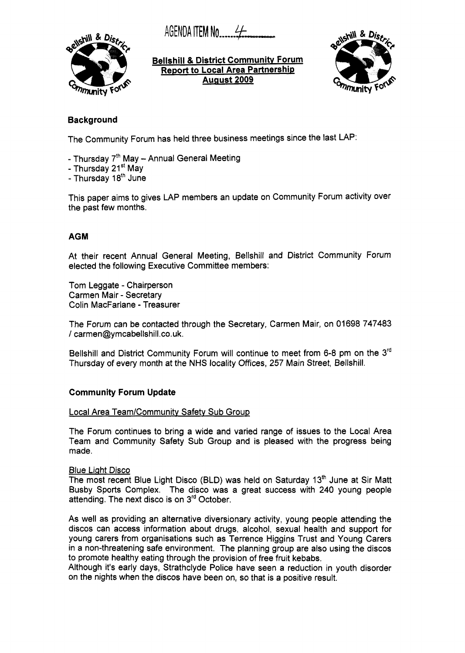AGENDA **ITEM No................** 



**Bellshill** & **District Communitv Forum Report to Local Area Partnership Auaust 2009** 



## **Background**

The Community Forum has held three business meetings since the last LAP:

- Thursday  $7<sup>th</sup>$  May Annual General Meeting
- Thursday 21<sup>st</sup> May
- Thursday 18<sup>th</sup> June

This paper aims to gives LAP members an update on Community Forum activity over the past few months.

## **AGM**

At their recent Annual General Meeting, Bellshill and District Community Forum elected the following Executive Committee members:

Tom Leggate - Chairperson Carmen Mair - Secretary Colin MacFarlane - Treasurer

The Forum can be contacted through the Secretary, Carmen Mair, on 01698 747483 / carmen@ymcabellshill.co.uk.

Bellshill and District Community Forum will continue to meet from 6-8 pm on the 3<sup>rd</sup> Thursday of every month at the **NHS** locality Offices, 257 Main Street, Bellshill.

## **Community Forum Update**

### Local Area Team/Community Safety Sub Group

The Forum continues to bring a wide and varied range of issues to the Local Area Team and Community Safety Sub Group and is pleased with the progress being made.

## Blue Light Disco

The most recent Blue Light Disco (BLD) was held on Saturday 13'h June at Sir Matt Busby Sports Complex. The disco was a great success with 240 young people attending. The next disco is on 3<sup>rd</sup> October.

As well as providing an alternative diversionary activity, young people attending the discos can access information about drugs, alcohol, sexual health and support for young carers from organisations such as Terrence Higgins Trust and Young Carers in a non-threatening safe environment. The planning group are also using the discos to promote healthy eating through the provision of free fruit kebabs.

Although it's early days, Strathclyde Police have seen a reduction in youth disorder on the nights when the discos have been on, so that is a positive result.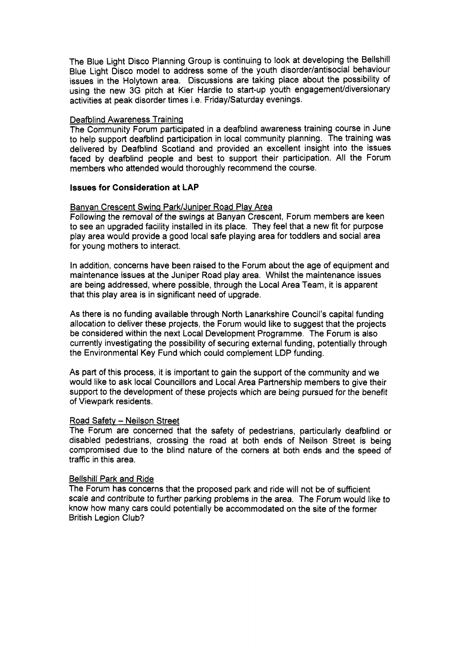The Blue Light Disco Planning Group is continuing to look at developing the Bellshill Blue Light Disco model to address some of the youth disorder/antisocial behaviour issues in the Holytown area. Discussions are taking place about the possibility of using the new 3G pitch at Kier Hardie to start-up youth engagement/diversionary activities at peak disorder times i.e. Friday/Saturday evenings.

### Deafblind Awareness Traininq

The Community Forum participated in a deafblind awareness training course in June to help support deafblind participation in local community planning. The training was delivered by Deafblind Scotland and provided an excellent insight into the issues faced by deafblind people and best to support their participation. All the Forum members who attended would thoroughly recommend the course.

#### **Issues for Consideration at LAP**

#### Banyan Crescent Swing Park/Juniper Road Play Area

Following the removal of the swings at Banyan Crescent, Forum members are keen to see an upgraded facility installed in its place. They feel that a new fit for purpose play area would provide a good local safe playing area for toddlers and social area for young mothers to interact.

In addition, concerns have been raised to the Forum about the age of equipment and maintenance issues at the Juniper Road play area. Whilst the maintenance issues are being addressed, where possible, through the Local Area Team, it is apparent that this play area is in significant need of upgrade.

As there is no funding available through North Lanarkshire Council's capital funding allocation to deliver these projects, the Forum would like to suggest that the projects be considered within the next Local Development Programme. The Forum is also currently investigating the possibility of securing external funding, potentially through the Environmental Key Fund which could complement LDP funding.

**As** part of this process, it is important to gain the support of the community and we would like to ask local Councillors and Local Area Partnership members to give their support to the development of these projects which are being pursued for the benefit of Viewpark residents.

### Road Safety - Neilson Street

The Forum are concerned that the safety of pedestrians, particularly deafblind or disabled pedestrians, crossing the road at both ends of Neilson Street is being compromised due to the blind nature of the corners at both ends and the speed of traffic in this area.

#### Bellshill Park and Ride

The Forum has concerns that the proposed park and ride will not be of sufficient scale and contribute to further parking problems in the area. The Forum would like to know how many cars could potentially be accommodated on the site of the former British Legion Club?